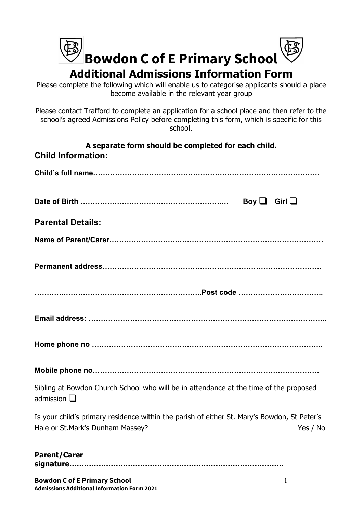| <b>B</b><br>Bowdon C of E Primary School      |  |
|-----------------------------------------------|--|
|                                               |  |
| <b>Additional Admissions Information Form</b> |  |

Please complete the following which will enable us to categorise applicants should a place become available in the relevant year group

Please contact Trafford to complete an application for a school place and then refer to the school's agreed Admissions Policy before completing this form, which is specific for this school.

| A separate form should be completed for each child.<br><b>Child Information:</b>                                                            |
|---------------------------------------------------------------------------------------------------------------------------------------------|
|                                                                                                                                             |
| Boy $\Box$ Girl $\Box$                                                                                                                      |
| <b>Parental Details:</b>                                                                                                                    |
|                                                                                                                                             |
|                                                                                                                                             |
|                                                                                                                                             |
|                                                                                                                                             |
|                                                                                                                                             |
|                                                                                                                                             |
| Sibling at Bowdon Church School who will be in attendance at the time of the proposed<br>admission $\square$                                |
| Is your child's primary residence within the parish of either St. Mary's Bowdon, St Peter's<br>Hale or St.Mark's Dunham Massey?<br>Yes / No |
| <b>Parent/Carer</b>                                                                                                                         |